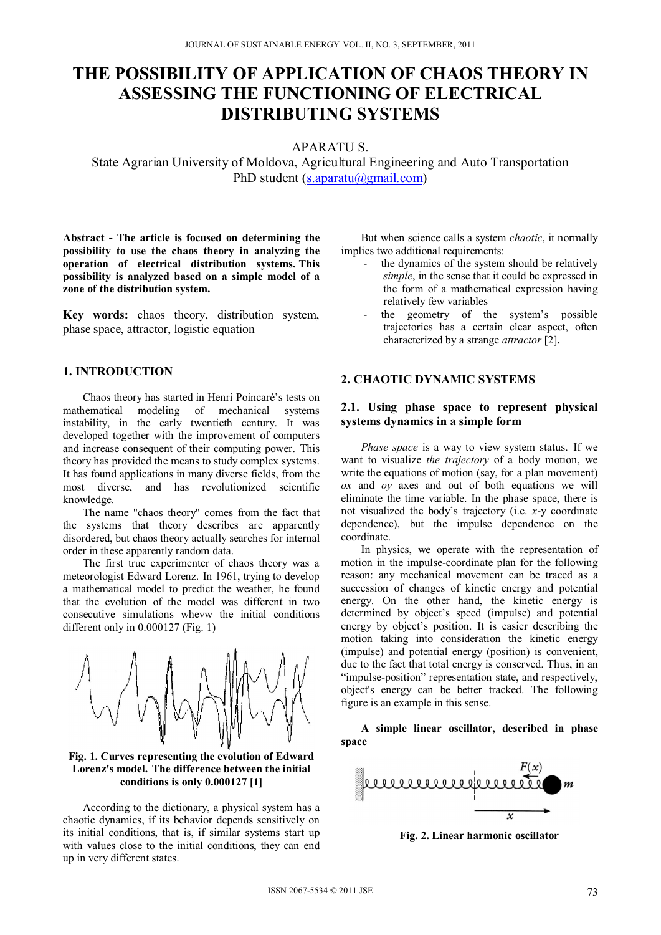# **THE POSSIBILITY OF APPLICATION OF CHAOS THEORY IN ASSESSING THE FUNCTIONING OF ELECTRICAL DISTRIBUTING SYSTEMS**

APARATU S.

State Agrarian University of Moldova, Agricultural Engineering and Auto Transportation PhD student (s.aparatu@gmail.com)

**Abstract - The article is focused on determining the possibility to use the chaos theory in analyzing the operation of electrical distribution systems. This possibility is analyzed based on a simple model of a zone of the distribution system.** 

**Key words:** chaos theory, distribution system, phase space, attractor, logistic equation

### **1. INTRODUCTION**

Chaos theory has started in Henri Poincaré's tests on mathematical modeling of mechanical systems instability, in the early twentieth century. It was developed together with the improvement of computers and increase consequent of their computing power. This theory has provided the means to study complex systems. It has found applications in many diverse fields, from the most diverse, and has revolutionized scientific knowledge.

The name "chaos theory" comes from the fact that the systems that theory describes are apparently disordered, but chaos theory actually searches for internal order in these apparently random data.

The first true experimenter of chaos theory was a meteorologist Edward Lorenz. In 1961, trying to develop a mathematical model to predict the weather, he found that the evolution of the model was different in two consecutive simulations whevw the initial conditions different only in 0.000127 (Fig. 1)



**Fig. 1. Curves representing the evolution of Edward Lorenz's model. The difference between the initial conditions is only 0.000127 [1]** 

According to the dictionary, a physical system has a chaotic dynamics, if its behavior depends sensitively on its initial conditions, that is, if similar systems start up with values close to the initial conditions, they can end up in very different states.

But when science calls a system *chaotic*, it normally implies two additional requirements:

- the dynamics of the system should be relatively *simple*, in the sense that it could be expressed in the form of a mathematical expression having relatively few variables
- the geometry of the system's possible trajectories has a certain clear aspect, often characterized by a strange *attractor* [2]**.**

#### **2. CHAOTIC DYNAMIC SYSTEMS**

### **2.1. Using phase space to represent physical systems dynamics in a simple form**

*Phase space* is a way to view system status. If we want to visualize *the trajectory* of a body motion, we write the equations of motion (say, for a plan movement) *ox* and *oy* axes and out of both equations we will eliminate the time variable. In the phase space, there is not visualized the body's trajectory (i.e. *x*-y coordinate dependence), but the impulse dependence on the coordinate.

In physics, we operate with the representation of motion in the impulse-coordinate plan for the following reason: any mechanical movement can be traced as a succession of changes of kinetic energy and potential energy. On the other hand, the kinetic energy is determined by object's speed (impulse) and potential energy by object's position. It is easier describing the motion taking into consideration the kinetic energy (impulse) and potential energy (position) is convenient, due to the fact that total energy is conserved. Thus, in an "impulse-position" representation state, and respectively, object's energy can be better tracked. The following figure is an example in this sense.

**A simple linear oscillator, described in phase space**



**Fig. 2. Linear harmonic oscillator**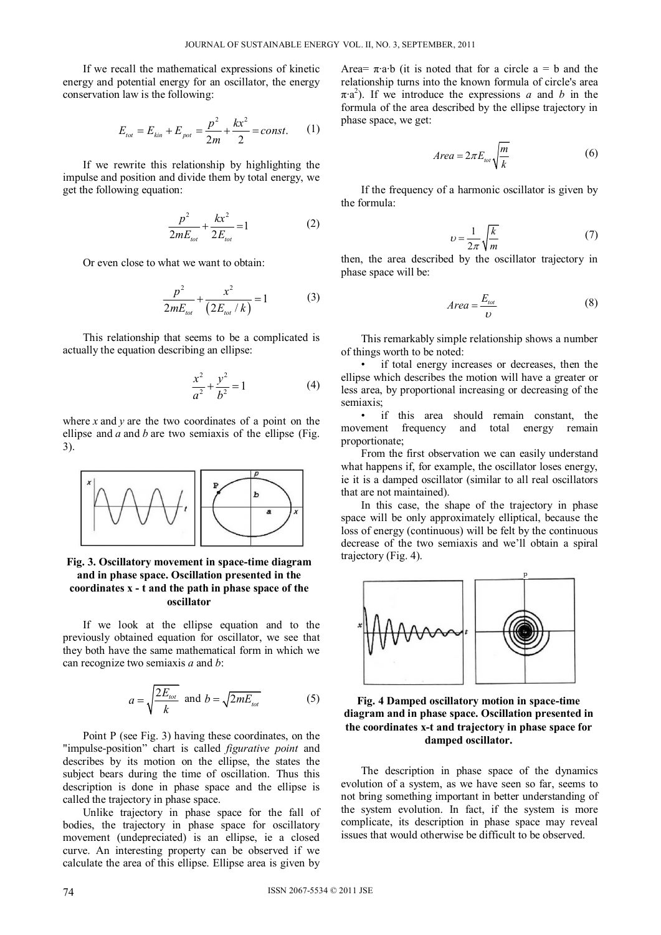If we recall the mathematical expressions of kinetic energy and potential energy for an oscillator, the energy conservation law is the following:

$$
E_{tot} = E_{kin} + E_{pot} = \frac{p^2}{2m} + \frac{kx^2}{2} = const.
$$
 (1)

If we rewrite this relationship by highlighting the impulse and position and divide them by total energy, we get the following equation:

$$
\frac{p^2}{2mE_{tot}} + \frac{kx^2}{2E_{tot}} = 1
$$
 (2)

Or even close to what we want to obtain:

$$
\frac{p^2}{2mE_{tot}} + \frac{x^2}{(2E_{tot}/k)} = 1
$$
 (3)

This relationship that seems to be a complicated is actually the equation describing an ellipse:

$$
\frac{x^2}{a^2} + \frac{y^2}{b^2} = 1\tag{4}
$$

where *x* and *y* are the two coordinates of a point on the ellipse and *a* and *b* are two semiaxis of the ellipse (Fig. 3).



**Fig. 3. Oscillatory movement in space-time diagram and in phase space. Oscillation presented in the coordinates x - t and the path in phase space of the oscillator** 

If we look at the ellipse equation and to the previously obtained equation for oscillator, we see that they both have the same mathematical form in which we can recognize two semiaxis *a* and *b*:

$$
a = \sqrt{\frac{2E_{tot}}{k}} \text{ and } b = \sqrt{2mE_{tot}}
$$
 (5)

Point P (see Fig. 3) having these coordinates, on the "impulse-position" chart is called *figurative point* and describes by its motion on the ellipse, the states the subject bears during the time of oscillation. Thus this description is done in phase space and the ellipse is called the trajectory in phase space.

Unlike trajectory in phase space for the fall of bodies, the trajectory in phase space for oscillatory movement (undepreciated) is an ellipse, ie a closed curve. An interesting property can be observed if we calculate the area of this ellipse. Ellipse area is given by

Area=  $\pi$ ·a·b (it is noted that for a circle a = b and the relationship turns into the known formula of circle's area  $\pi$ <sup>2</sup>). If we introduce the expressions *a* and *b* in the formula of the area described by the ellipse trajectory in phase space, we get:

$$
Area = 2\pi E_{tot} \sqrt{\frac{m}{k}} \tag{6}
$$

If the frequency of a harmonic oscillator is given by the formula:

$$
\upsilon = \frac{1}{2\pi} \sqrt{\frac{k}{m}} \tag{7}
$$

then, the area described by the oscillator trajectory in phase space will be:

$$
Area = \frac{E_{tot}}{U} \tag{8}
$$

This remarkably simple relationship shows a number of things worth to be noted:

• if total energy increases or decreases, then the ellipse which describes the motion will have a greater or less area, by proportional increasing or decreasing of the semiaxis;

• if this area should remain constant, the movement frequency and total energy remain proportionate;

From the first observation we can easily understand what happens if, for example, the oscillator loses energy, ie it is a damped oscillator (similar to all real oscillators that are not maintained).

In this case, the shape of the trajectory in phase space will be only approximately elliptical, because the loss of energy (continuous) will be felt by the continuous decrease of the two semiaxis and we'll obtain a spiral trajectory (Fig. 4).





The description in phase space of the dynamics evolution of a system, as we have seen so far, seems to not bring something important in better understanding of the system evolution. In fact, if the system is more complicate, its description in phase space may reveal issues that would otherwise be difficult to be observed.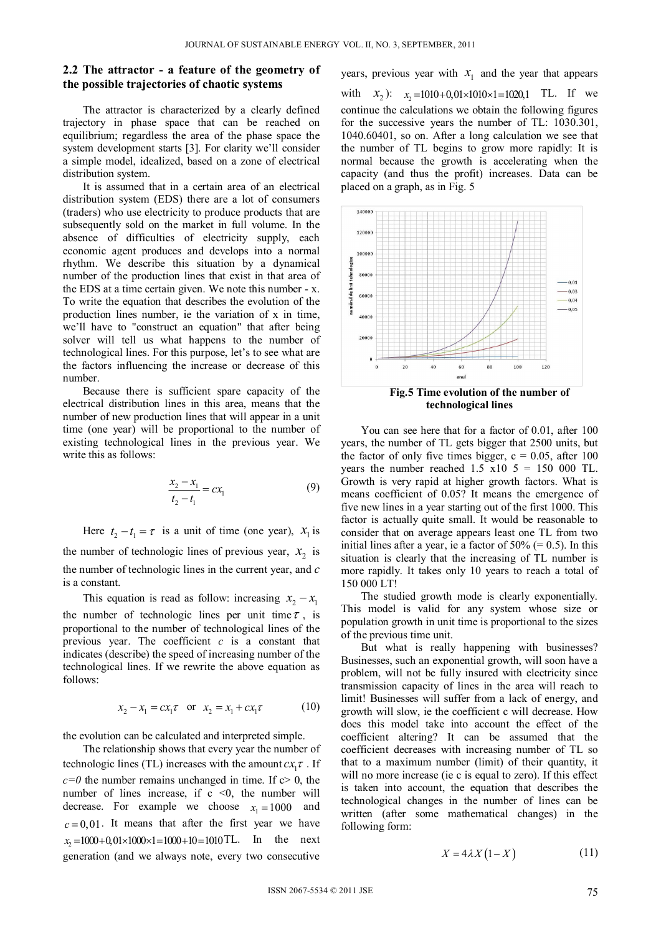#### **2.2 The attractor - a feature of the geometry of the possible trajectories of chaotic systems**

The attractor is characterized by a clearly defined trajectory in phase space that can be reached on equilibrium; regardless the area of the phase space the system development starts [3]. For clarity we'll consider a simple model, idealized, based on a zone of electrical distribution system.

It is assumed that in a certain area of an electrical distribution system (EDS) there are a lot of consumers (traders) who use electricity to produce products that are subsequently sold on the market in full volume. In the absence of difficulties of electricity supply, each economic agent produces and develops into a normal rhythm. We describe this situation by a dynamical number of the production lines that exist in that area of the EDS at a time certain given. We note this number - x. To write the equation that describes the evolution of the production lines number, ie the variation of x in time, we'll have to "construct an equation" that after being solver will tell us what happens to the number of technological lines. For this purpose, let's to see what are the factors influencing the increase or decrease of this number.

Because there is sufficient spare capacity of the electrical distribution lines in this area, means that the number of new production lines that will appear in a unit time (one year) will be proportional to the number of existing technological lines in the previous year. We write this as follows:

$$
\frac{x_2 - x_1}{t_2 - t_1} = cx_1
$$
\n(9)

Here  $t_2 - t_1 = \tau$  is a unit of time (one year),  $x_1$  is the number of technologic lines of previous year,  $x_2$  is the number of technologic lines in the current year, and *c* is a constant.

This equation is read as follow: increasing  $x_2 - x_1$ the number of technologic lines per unit time  $\tau$ , is proportional to the number of technological lines of the previous year. The coefficient *c* is a constant that indicates (describe) the speed of increasing number of the technological lines. If we rewrite the above equation as follows:

$$
x_2 - x_1 = cx_1 \tau
$$
 or  $x_2 = x_1 + cx_1 \tau$  (10)

the evolution can be calculated and interpreted simple.

The relationship shows that every year the number of technologic lines (TL) increases with the amount  $cx, \tau$ . If  $c=0$  the number remains unchanged in time. If  $c>0$ , the number of lines increase, if  $c \le 0$ , the number will decrease. For example we choose  $x_1 = 1000$  and  $c = 0.01$ . It means that after the first year we have  $x_2 = 1000 + 0.01 \times 1000 \times 1 = 1000 + 10 = 1010 \text{ T}$ . In the next generation (and we always note, every two consecutive

years, previous year with  $x_1$  and the year that appears with  $x_2$ :  $x_2 = 1010 + 0.01 \times 1010 \times 1 = 1020.1$  TL. If we continue the calculations we obtain the following figures for the successive years the number of TL: 1030.301, 1040.60401, so on. After a long calculation we see that the number of TL begins to grow more rapidly: It is normal because the growth is accelerating when the capacity (and thus the profit) increases. Data can be placed on a graph, as in Fig. 5



You can see here that for a factor of 0.01, after 100 years, the number of TL gets bigger that 2500 units, but the factor of only five times bigger,  $c = 0.05$ , after 100 years the number reached  $1.5 \times 10 = 150000$  TL. Growth is very rapid at higher growth factors. What is means coefficient of 0.05? It means the emergence of five new lines in a year starting out of the first 1000. This factor is actually quite small. It would be reasonable to consider that on average appears least one TL from two initial lines after a year, ie a factor of  $50\%$  (= 0.5). In this situation is clearly that the increasing of TL number is more rapidly. It takes only 10 years to reach a total of 150 000 LT!

The studied growth mode is clearly exponentially. This model is valid for any system whose size or population growth in unit time is proportional to the sizes of the previous time unit.

But what is really happening with businesses? Businesses, such an exponential growth, will soon have a problem, will not be fully insured with electricity since transmission capacity of lines in the area will reach to limit! Businesses will suffer from a lack of energy, and growth will slow, ie the coefficient c will decrease. How does this model take into account the effect of the coefficient altering? It can be assumed that the coefficient decreases with increasing number of TL so that to a maximum number (limit) of their quantity, it will no more increase (ie c is equal to zero). If this effect is taken into account, the equation that describes the technological changes in the number of lines can be written (after some mathematical changes) in the following form:

$$
X = 4\lambda X (1 - X) \tag{11}
$$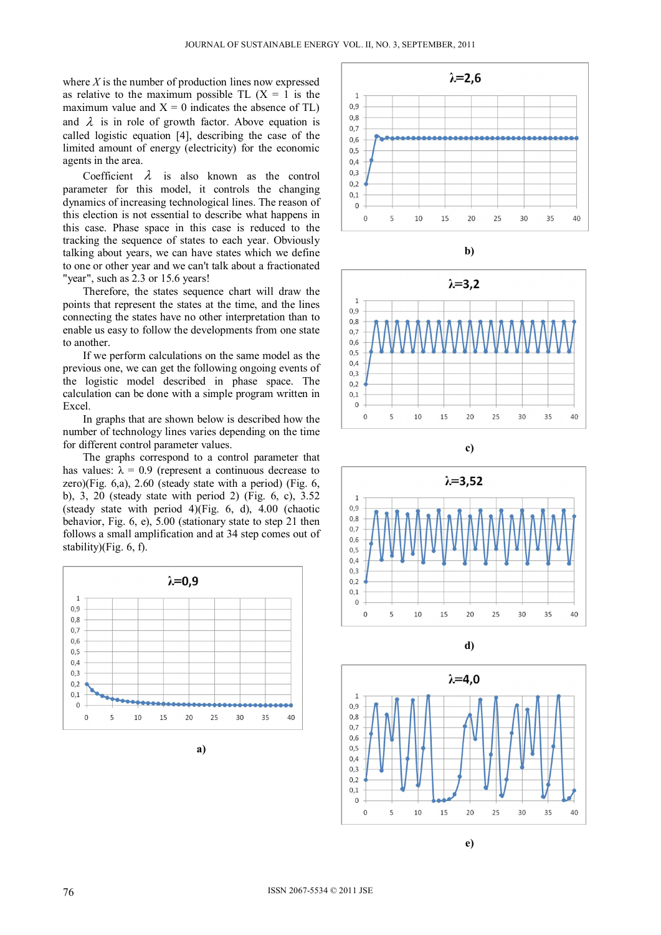where  $X$  is the number of production lines now expressed as relative to the maximum possible TL  $(X = 1)$  is the maximum value and  $X = 0$  indicates the absence of TL) and  $\lambda$  is in role of growth factor. Above equation is called logistic equation [4], describing the case of the limited amount of energy (electricity) for the economic agents in the area.

Coefficient  $\lambda$  is also known as the control parameter for this model, it controls the changing dynamics of increasing technological lines. The reason of this election is not essential to describe what happens in this case. Phase space in this case is reduced to the tracking the sequence of states to each year. Obviously talking about years, we can have states which we define to one or other year and we can't talk about a fractionated "year", such as 2.3 or 15.6 years!

Therefore, the states sequence chart will draw the points that represent the states at the time, and the lines connecting the states have no other interpretation than to enable us easy to follow the developments from one state to another.

If we perform calculations on the same model as the previous one, we can get the following ongoing events of the logistic model described in phase space. The calculation can be done with a simple program written in Excel.

In graphs that are shown below is described how the number of technology lines varies depending on the time for different control parameter values.

The graphs correspond to a control parameter that has values:  $\lambda = 0.9$  (represent a continuous decrease to zero)(Fig. 6,a), 2.60 (steady state with a period) (Fig. 6, b), 3, 20 (steady state with period 2) (Fig. 6, c), 3.52 (steady state with period 4)(Fig. 6, d), 4.00 (chaotic behavior, Fig. 6, e), 5.00 (stationary state to step 21 then follows a small amplification and at 34 step comes out of stability)(Fig. 6, f).



















**e)**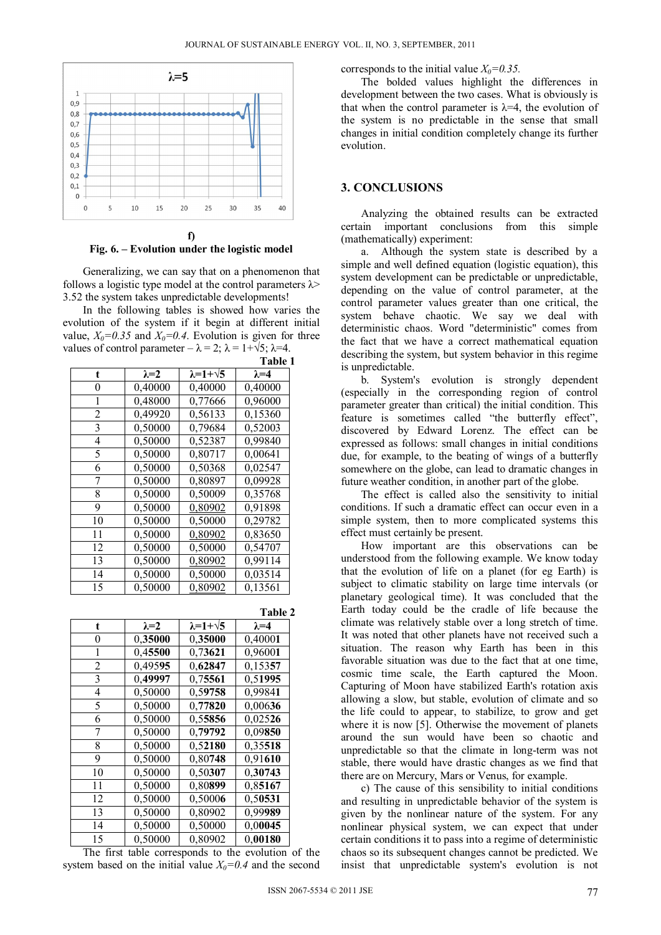

## **Fig. 6. – Evolution under the logistic model**

Generalizing, we can say that on a phenomenon that follows a logistic type model at the control parameters  $\lambda$ > 3.52 the system takes unpredictable developments!

In the following tables is showed how varies the evolution of the system if it begin at different initial value,  $X_0=0.35$  and  $X_0=0.4$ . Evolution is given for three values of control parameter –  $\lambda = 2$ ;  $\lambda = 1 + \sqrt{5}$ ;  $\lambda = 4$ .

|                |               |                          | Table 1       |
|----------------|---------------|--------------------------|---------------|
| t              | $\lambda = 2$ | $\lambda = 1 + \sqrt{5}$ | $\lambda = 4$ |
| 0              | 0,40000       | 0,40000                  | 0,40000       |
| 1              | 0,48000       | 0,77666                  | 0,96000       |
| $\overline{2}$ | 0,49920       | 0,56133                  | 0,15360       |
| 3              | 0,50000       | 0,79684                  | 0,52003       |
| 4              | 0,50000       | 0,52387                  | 0,99840       |
| 5              | 0,50000       | 0,80717                  | 0,00641       |
| 6              | 0,50000       | 0,50368                  | 0,02547       |
| 7              | 0,50000       | 0,80897                  | 0,09928       |
| 8              | 0,50000       | 0,50009                  | 0,35768       |
| 9              | 0,50000       | 0,80902                  | 0,91898       |
| 10             | 0,50000       | 0,50000                  | 0,29782       |
| 11             | 0,50000       | 0,80902                  | 0,83650       |
| 12             | 0,50000       | 0,50000                  | 0,54707       |
| 13             | 0,50000       | 0,80902                  | 0,99114       |
| 14             | 0,50000       | 0,50000                  | 0,03514       |
| 15             | 0,50000       | 0,80902                  | 0,13561       |

|    |               |                          | Table 2       |
|----|---------------|--------------------------|---------------|
| t  | $\lambda = 2$ | $\lambda = 1 + \sqrt{5}$ | $\lambda = 4$ |
| 0  | 0,35000       | 0,35000                  | 0,40001       |
| 1  | 0,45500       | 0,73621                  | 0,96001       |
| 2  | 0,49595       | 0,62847                  | 0,15357       |
| 3  | 0,49997       | 0,75561                  | 0,51995       |
| 4  | 0,50000       | 0,59758                  | 0,99841       |
| 5  | 0,50000       | 0,77820                  | 0,00636       |
| 6  | 0,50000       | 0,55856                  | 0,02526       |
| 7  | 0,50000       | 0,79792                  | 0,09850       |
| 8  | 0,50000       | 0,52180                  | 0,35518       |
| 9  | 0,50000       | 0,80748                  | 0,91610       |
| 10 | 0,50000       | 0,50307                  | 0,30743       |
| 11 | 0,50000       | 0,80899                  | 0,85167       |
| 12 | 0,50000       | 0,50006                  | 0,50531       |
| 13 | 0,50000       | 0,80902                  | 0,99989       |
| 14 | 0,50000       | 0,50000                  | 0,00045       |
| 15 | 0,50000       | 0,80902                  | 0,00180       |

The first table corresponds to the evolution of the system based on the initial value  $X_0=0.4$  and the second

corresponds to the initial value  $X_0=0.35$ .

The bolded values highlight the differences in development between the two cases. What is obviously is that when the control parameter is  $\lambda = 4$ , the evolution of the system is no predictable in the sense that small changes in initial condition completely change its further evolution.

#### **3. CONCLUSIONS**

Analyzing the obtained results can be extracted certain important conclusions from this simple (mathematically) experiment:

a. Although the system state is described by a simple and well defined equation (logistic equation), this system development can be predictable or unpredictable. depending on the value of control parameter, at the control parameter values greater than one critical, the system behave chaotic. We say we deal with deterministic chaos. Word "deterministic" comes from the fact that we have a correct mathematical equation describing the system, but system behavior in this regime is unpredictable.

b. System's evolution is strongly dependent (especially in the corresponding region of control parameter greater than critical) the initial condition. This feature is sometimes called "the butterfly effect", discovered by Edward Lorenz. The effect can be expressed as follows: small changes in initial conditions due, for example, to the beating of wings of a butterfly somewhere on the globe, can lead to dramatic changes in future weather condition, in another part of the globe.

The effect is called also the sensitivity to initial conditions. If such a dramatic effect can occur even in a simple system, then to more complicated systems this effect must certainly be present.

How important are this observations can be understood from the following example. We know today that the evolution of life on a planet (for eg Earth) is subject to climatic stability on large time intervals (or planetary geological time). It was concluded that the Earth today could be the cradle of life because the climate was relatively stable over a long stretch of time. It was noted that other planets have not received such a situation. The reason why Earth has been in this favorable situation was due to the fact that at one time, cosmic time scale, the Earth captured the Moon. Capturing of Moon have stabilized Earth's rotation axis allowing a slow, but stable, evolution of climate and so the life could to appear, to stabilize, to grow and get where it is now [5]. Otherwise the movement of planets around the sun would have been so chaotic and unpredictable so that the climate in long-term was not stable, there would have drastic changes as we find that there are on Mercury, Mars or Venus, for example.

c) The cause of this sensibility to initial conditions and resulting in unpredictable behavior of the system is given by the nonlinear nature of the system. For any nonlinear physical system, we can expect that under certain conditions it to pass into a regime of deterministic chaos so its subsequent changes cannot be predicted. We insist that unpredictable system's evolution is not